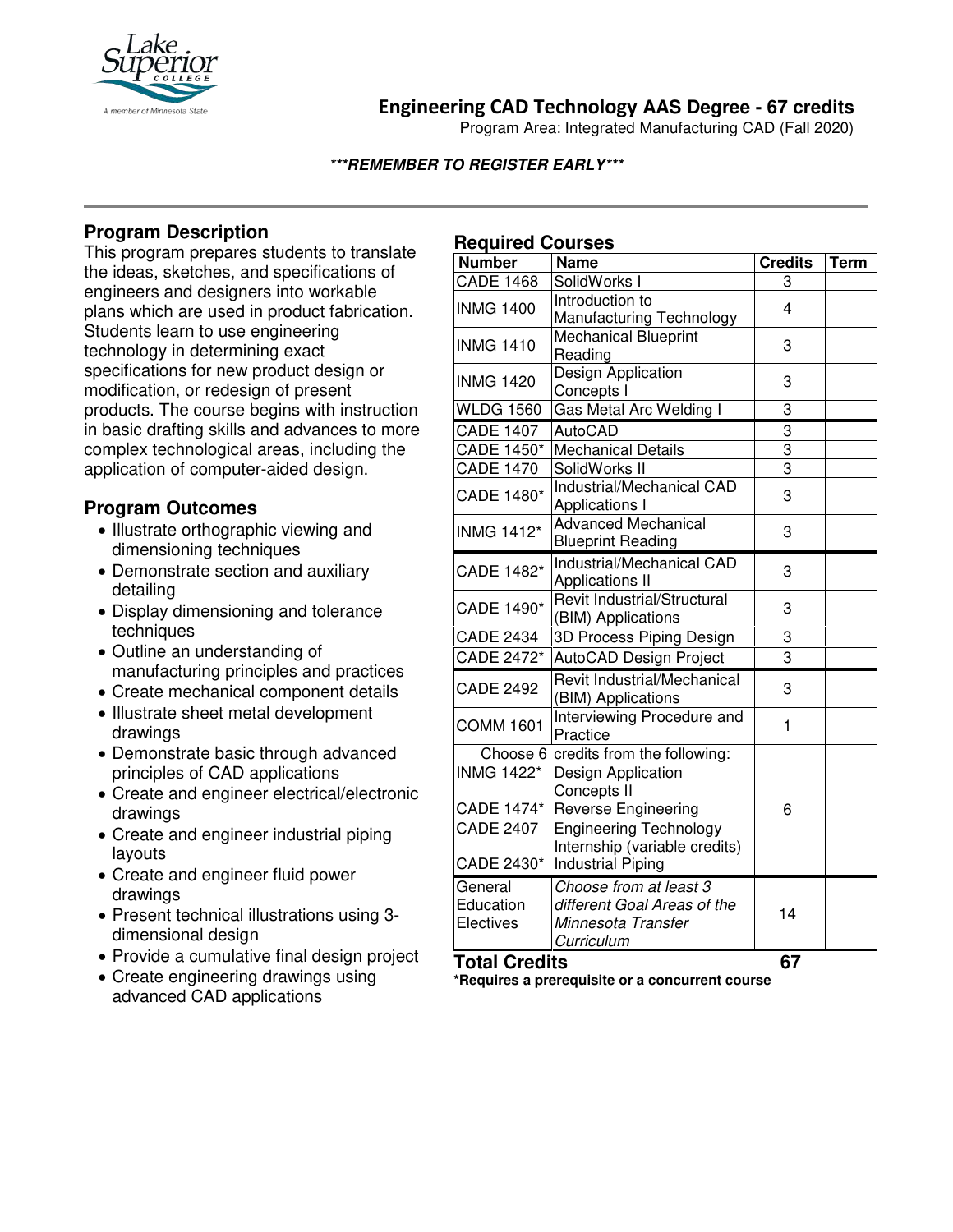

# **Engineering CAD Technology AAS Degree - 67 credits**

Program Area: Integrated Manufacturing CAD (Fall 2020)

### **\*\*\*REMEMBER TO REGISTER EARLY\*\*\***

# **Program Description**

This program prepares students to translate the ideas, sketches, and specifications of engineers and designers into workable plans which are used in product fabrication. Students learn to use engineering technology in determining exact specifications for new product design or modification, or redesign of present products. The course begins with instruction in basic drafting skills and advances to more complex technological areas, including the application of computer-aided design.

## **Program Outcomes**

- Illustrate orthographic viewing and dimensioning techniques
- Demonstrate section and auxiliary detailing
- Display dimensioning and tolerance techniques
- Outline an understanding of manufacturing principles and practices
- Create mechanical component details
- Illustrate sheet metal development drawings
- Demonstrate basic through advanced principles of CAD applications
- Create and engineer electrical/electronic drawings
- Create and engineer industrial piping layouts
- Create and engineer fluid power drawings
- Present technical illustrations using 3 dimensional design
- Provide a cumulative final design project
- Create engineering drawings using advanced CAD applications

# **Required Courses**

| <b>Number</b>                                              | <b>Name</b>                                                                                                                              | <b>Credits</b> | <b>Term</b> |
|------------------------------------------------------------|------------------------------------------------------------------------------------------------------------------------------------------|----------------|-------------|
| <b>CADE 1468</b>                                           | SolidWorks I                                                                                                                             | 3              |             |
| <b>INMG 1400</b>                                           | Introduction to<br>Manufacturing Technology                                                                                              | $\overline{4}$ |             |
| <b>INMG 1410</b>                                           | <b>Mechanical Blueprint</b><br>Reading                                                                                                   | 3              |             |
| <b>INMG 1420</b>                                           | Design Application<br>Concepts I                                                                                                         | 3              |             |
| <b>WLDG 1560</b>                                           | <b>Gas Metal Arc Welding I</b>                                                                                                           | 3              |             |
| <b>CADE 1407</b>                                           | <b>AutoCAD</b>                                                                                                                           | $\overline{3}$ |             |
| <b>CADE 1450*</b>                                          | <b>Mechanical Details</b>                                                                                                                | $\overline{3}$ |             |
| <b>CADE 1470</b>                                           | SolidWorks II                                                                                                                            | $\overline{3}$ |             |
| <b>CADE 1480*</b>                                          | Industrial/Mechanical CAD<br>Applications I                                                                                              | 3              |             |
| <b>INMG 1412*</b>                                          | <b>Advanced Mechanical</b><br><b>Blueprint Reading</b>                                                                                   | 3              |             |
| CADE 1482*                                                 | Industrial/Mechanical CAD<br><b>Applications II</b>                                                                                      | 3              |             |
| <b>CADE 1490*</b>                                          | <b>Revit Industrial/Structural</b><br>(BIM) Applications                                                                                 | 3              |             |
| <b>CADE 2434</b>                                           | 3D Process Piping Design                                                                                                                 | 3              |             |
| CADE 2472*                                                 | AutoCAD Design Project                                                                                                                   | 3              |             |
| <b>CADE 2492</b>                                           | Revit Industrial/Mechanical<br>(BIM) Applications                                                                                        | 3              |             |
| <b>COMM 1601</b>                                           | Interviewing Procedure and<br>Practice                                                                                                   | 1              |             |
| <b>INMG 1422*</b><br><b>CADE 1474*</b><br><b>CADE 2407</b> | Choose 6 credits from the following:<br>Design Application<br>Concepts II<br><b>Reverse Engineering</b><br><b>Engineering Technology</b> | 6              |             |
| CADE 2430*                                                 | Internship (variable credits)<br><b>Industrial Piping</b>                                                                                |                |             |
| General<br>Education<br>Electives                          | Choose from at least 3<br>different Goal Areas of the<br>Minnesota Transfer<br>Curriculum                                                | 14             |             |
| <b>Total Credits</b>                                       |                                                                                                                                          | 67             |             |

**\*Requires a prerequisite or a concurrent course**